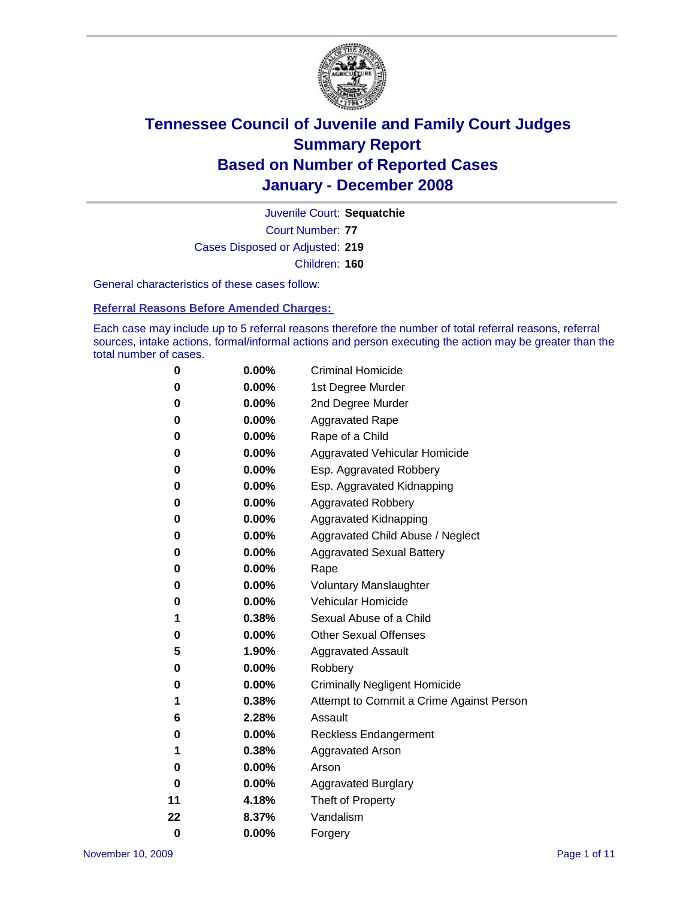

Court Number: **77** Juvenile Court: **Sequatchie** Cases Disposed or Adjusted: **219** Children: **160**

General characteristics of these cases follow:

**Referral Reasons Before Amended Charges:** 

Each case may include up to 5 referral reasons therefore the number of total referral reasons, referral sources, intake actions, formal/informal actions and person executing the action may be greater than the total number of cases.

| 0        | 0.00%    | <b>Criminal Homicide</b>                 |
|----------|----------|------------------------------------------|
| 0        | 0.00%    | 1st Degree Murder                        |
| 0        | 0.00%    | 2nd Degree Murder                        |
| 0        | 0.00%    | <b>Aggravated Rape</b>                   |
| 0        | 0.00%    | Rape of a Child                          |
| 0        | 0.00%    | Aggravated Vehicular Homicide            |
| 0        | 0.00%    | Esp. Aggravated Robbery                  |
| 0        | 0.00%    | Esp. Aggravated Kidnapping               |
| 0        | 0.00%    | <b>Aggravated Robbery</b>                |
| 0        | 0.00%    | Aggravated Kidnapping                    |
| 0        | 0.00%    | Aggravated Child Abuse / Neglect         |
| 0        | 0.00%    | <b>Aggravated Sexual Battery</b>         |
| 0        | 0.00%    | Rape                                     |
| 0        | 0.00%    | <b>Voluntary Manslaughter</b>            |
| 0        | 0.00%    | Vehicular Homicide                       |
| 1        | 0.38%    | Sexual Abuse of a Child                  |
| 0        | 0.00%    | <b>Other Sexual Offenses</b>             |
| 5        | 1.90%    | <b>Aggravated Assault</b>                |
| 0        | 0.00%    | Robbery                                  |
| 0        | $0.00\%$ | <b>Criminally Negligent Homicide</b>     |
| 1        | 0.38%    | Attempt to Commit a Crime Against Person |
| 6        | 2.28%    | Assault                                  |
| 0        | 0.00%    | <b>Reckless Endangerment</b>             |
| 1        | 0.38%    | <b>Aggravated Arson</b>                  |
| 0        | 0.00%    | Arson                                    |
| 0        | 0.00%    | <b>Aggravated Burglary</b>               |
| 11       | 4.18%    | Theft of Property                        |
| 22       | 8.37%    | Vandalism                                |
| $\bf{0}$ | 0.00%    | Forgery                                  |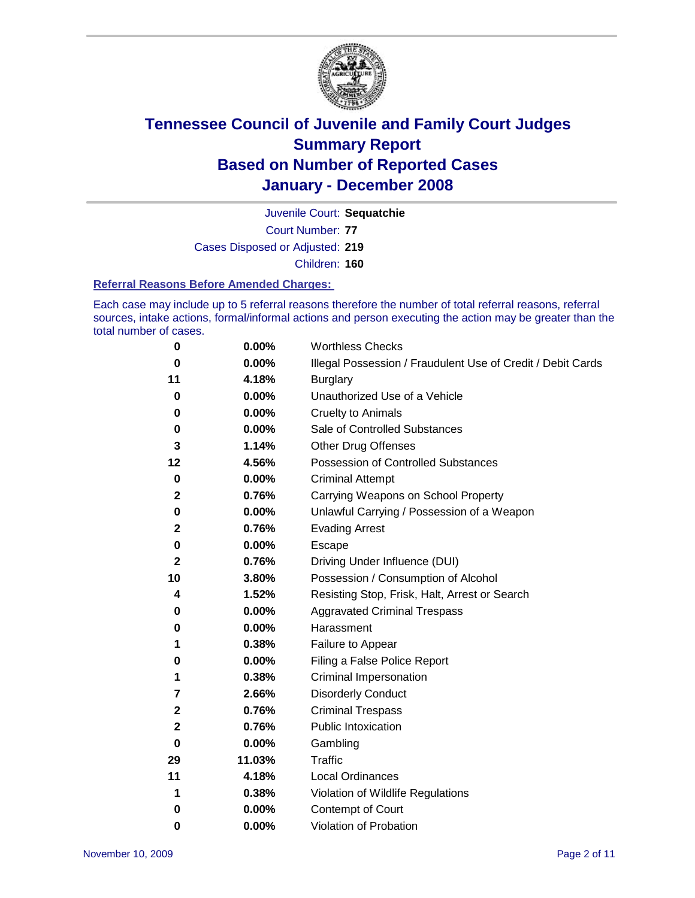

Court Number: **77** Juvenile Court: **Sequatchie** Cases Disposed or Adjusted: **219** Children: **160**

#### **Referral Reasons Before Amended Charges:**

Each case may include up to 5 referral reasons therefore the number of total referral reasons, referral sources, intake actions, formal/informal actions and person executing the action may be greater than the total number of cases.

| 0            | 0.00%  | <b>Worthless Checks</b>                                     |
|--------------|--------|-------------------------------------------------------------|
| 0            | 0.00%  | Illegal Possession / Fraudulent Use of Credit / Debit Cards |
| 11           | 4.18%  | <b>Burglary</b>                                             |
| 0            | 0.00%  | Unauthorized Use of a Vehicle                               |
| 0            | 0.00%  | <b>Cruelty to Animals</b>                                   |
| 0            | 0.00%  | Sale of Controlled Substances                               |
| 3            | 1.14%  | <b>Other Drug Offenses</b>                                  |
| $12 \,$      | 4.56%  | <b>Possession of Controlled Substances</b>                  |
| 0            | 0.00%  | <b>Criminal Attempt</b>                                     |
| $\mathbf{2}$ | 0.76%  | Carrying Weapons on School Property                         |
| 0            | 0.00%  | Unlawful Carrying / Possession of a Weapon                  |
| 2            | 0.76%  | <b>Evading Arrest</b>                                       |
| 0            | 0.00%  | Escape                                                      |
| 2            | 0.76%  | Driving Under Influence (DUI)                               |
| 10           | 3.80%  | Possession / Consumption of Alcohol                         |
| 4            | 1.52%  | Resisting Stop, Frisk, Halt, Arrest or Search               |
| 0            | 0.00%  | <b>Aggravated Criminal Trespass</b>                         |
| 0            | 0.00%  | Harassment                                                  |
| 1            | 0.38%  | Failure to Appear                                           |
| 0            | 0.00%  | Filing a False Police Report                                |
| 1            | 0.38%  | Criminal Impersonation                                      |
| 7            | 2.66%  | <b>Disorderly Conduct</b>                                   |
| $\mathbf{2}$ | 0.76%  | <b>Criminal Trespass</b>                                    |
| 2            | 0.76%  | <b>Public Intoxication</b>                                  |
| 0            | 0.00%  | Gambling                                                    |
| 29           | 11.03% | Traffic                                                     |
| 11           | 4.18%  | <b>Local Ordinances</b>                                     |
| 1            | 0.38%  | Violation of Wildlife Regulations                           |
| 0            | 0.00%  | Contempt of Court                                           |
| 0            | 0.00%  | Violation of Probation                                      |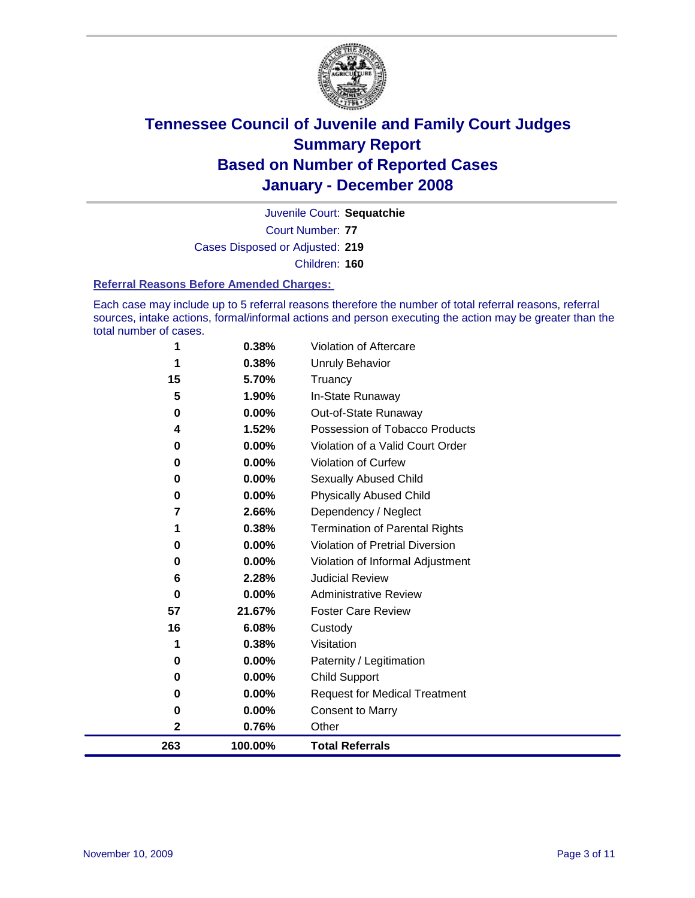

Court Number: **77** Juvenile Court: **Sequatchie** Cases Disposed or Adjusted: **219** Children: **160**

#### **Referral Reasons Before Amended Charges:**

Each case may include up to 5 referral reasons therefore the number of total referral reasons, referral sources, intake actions, formal/informal actions and person executing the action may be greater than the total number of cases.

| 1   | 0.38%    | Violation of Aftercare                 |
|-----|----------|----------------------------------------|
| 1   | 0.38%    | <b>Unruly Behavior</b>                 |
| 15  | 5.70%    | Truancy                                |
| 5   | 1.90%    | In-State Runaway                       |
| 0   | 0.00%    | Out-of-State Runaway                   |
| 4   | 1.52%    | Possession of Tobacco Products         |
| 0   | 0.00%    | Violation of a Valid Court Order       |
| 0   | 0.00%    | Violation of Curfew                    |
| 0   | $0.00\%$ | Sexually Abused Child                  |
| 0   | $0.00\%$ | <b>Physically Abused Child</b>         |
| 7   | 2.66%    | Dependency / Neglect                   |
| 1   | 0.38%    | <b>Termination of Parental Rights</b>  |
| 0   | $0.00\%$ | <b>Violation of Pretrial Diversion</b> |
| 0   | $0.00\%$ | Violation of Informal Adjustment       |
| 6   | 2.28%    | <b>Judicial Review</b>                 |
| 0   | $0.00\%$ | <b>Administrative Review</b>           |
| 57  | 21.67%   | <b>Foster Care Review</b>              |
| 16  | 6.08%    | Custody                                |
| 1   | 0.38%    | Visitation                             |
| 0   | $0.00\%$ | Paternity / Legitimation               |
| 0   | $0.00\%$ | <b>Child Support</b>                   |
| 0   | $0.00\%$ | <b>Request for Medical Treatment</b>   |
| 0   | 0.00%    | <b>Consent to Marry</b>                |
| 2   | 0.76%    | Other                                  |
| 263 | 100.00%  | <b>Total Referrals</b>                 |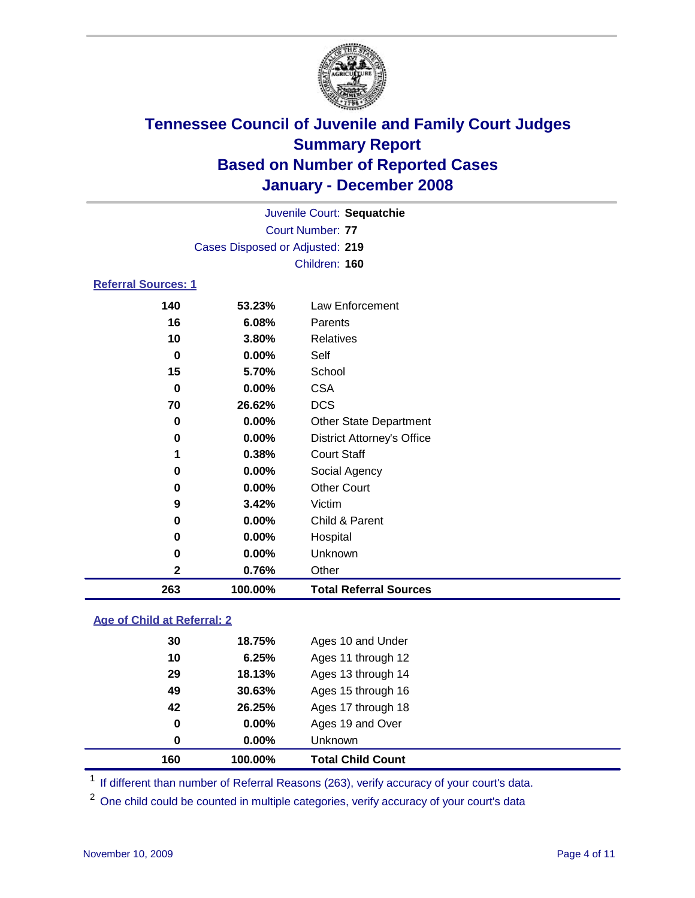

Court Number: **77** Juvenile Court: **Sequatchie** Cases Disposed or Adjusted: **219** Children: **160**

### **Referral Sources: 1**

| 263         | 100.00% | <b>Total Referral Sources</b>     |
|-------------|---------|-----------------------------------|
| $\mathbf 2$ | 0.76%   | Other                             |
| 0           | 0.00%   | Unknown                           |
| 0           | 0.00%   | Hospital                          |
| 0           | 0.00%   | Child & Parent                    |
| 9           | 3.42%   | Victim                            |
| 0           | 0.00%   | <b>Other Court</b>                |
| 0           | 0.00%   | Social Agency                     |
| 1           | 0.38%   | <b>Court Staff</b>                |
| 0           | 0.00%   | <b>District Attorney's Office</b> |
| 0           | 0.00%   | <b>Other State Department</b>     |
| 70          | 26.62%  | <b>DCS</b>                        |
| 0           | 0.00%   | <b>CSA</b>                        |
| 15          | 5.70%   | School                            |
| 0           | 0.00%   | Self                              |
| 10          | 3.80%   | Relatives                         |
| 16          | 6.08%   | <b>Parents</b>                    |
| 140         | 53.23%  | Law Enforcement                   |

### **Age of Child at Referral: 2**

| 160 | 100.00% | <b>Total Child Count</b> |
|-----|---------|--------------------------|
| 0   | 0.00%   | <b>Unknown</b>           |
| 0   | 0.00%   | Ages 19 and Over         |
| 42  | 26.25%  | Ages 17 through 18       |
| 49  | 30.63%  | Ages 15 through 16       |
| 29  | 18.13%  | Ages 13 through 14       |
| 10  | 6.25%   | Ages 11 through 12       |
| 30  | 18.75%  | Ages 10 and Under        |
|     |         |                          |

<sup>1</sup> If different than number of Referral Reasons (263), verify accuracy of your court's data.

<sup>2</sup> One child could be counted in multiple categories, verify accuracy of your court's data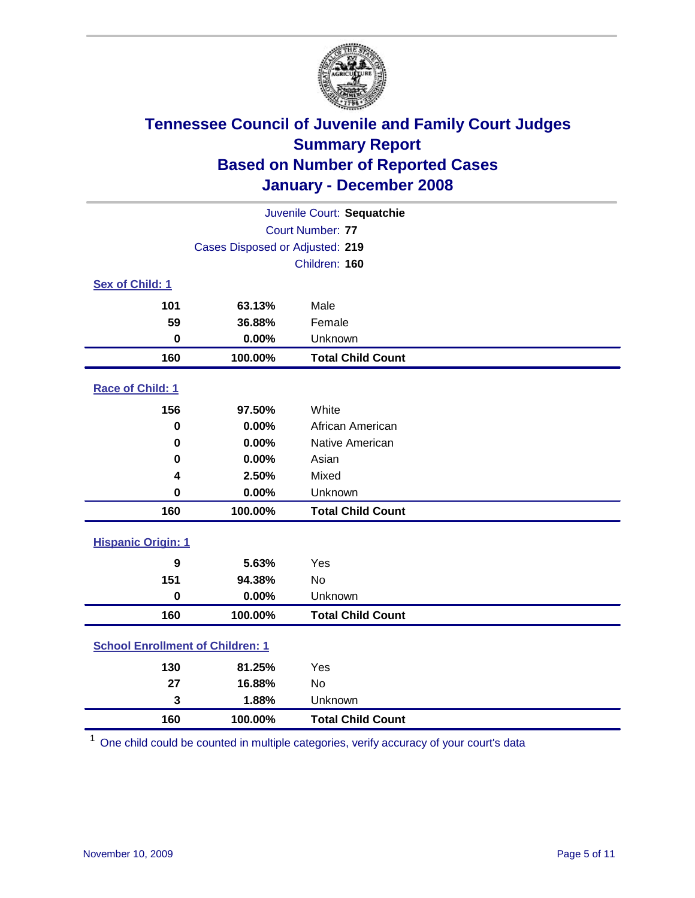

| Juvenile Court: Sequatchie              |                                 |                          |  |  |  |
|-----------------------------------------|---------------------------------|--------------------------|--|--|--|
|                                         | Court Number: 77                |                          |  |  |  |
|                                         | Cases Disposed or Adjusted: 219 |                          |  |  |  |
|                                         |                                 | Children: 160            |  |  |  |
| Sex of Child: 1                         |                                 |                          |  |  |  |
| 101                                     | 63.13%                          | Male                     |  |  |  |
| 59                                      | 36.88%                          | Female                   |  |  |  |
| $\bf{0}$                                | 0.00%                           | Unknown                  |  |  |  |
| 160                                     | 100.00%                         | <b>Total Child Count</b> |  |  |  |
| Race of Child: 1                        |                                 |                          |  |  |  |
| 156                                     | 97.50%                          | White                    |  |  |  |
| $\bf{0}$                                | 0.00%                           | African American         |  |  |  |
| $\bf{0}$                                | 0.00%                           | Native American          |  |  |  |
| 0                                       | 0.00%                           | Asian                    |  |  |  |
| 4                                       | 2.50%                           | Mixed                    |  |  |  |
| $\bf{0}$                                | 0.00%                           | Unknown                  |  |  |  |
| 160                                     | 100.00%                         | <b>Total Child Count</b> |  |  |  |
| <b>Hispanic Origin: 1</b>               |                                 |                          |  |  |  |
| 9                                       | 5.63%                           | Yes                      |  |  |  |
| 151                                     | 94.38%                          | No                       |  |  |  |
| $\mathbf 0$                             | 0.00%                           | Unknown                  |  |  |  |
| 160                                     | 100.00%                         | <b>Total Child Count</b> |  |  |  |
| <b>School Enrollment of Children: 1</b> |                                 |                          |  |  |  |
| 130                                     | 81.25%                          | Yes                      |  |  |  |
| 27                                      | 16.88%                          | No                       |  |  |  |
| 3                                       | 1.88%                           | Unknown                  |  |  |  |
| 160                                     | 100.00%                         | <b>Total Child Count</b> |  |  |  |

One child could be counted in multiple categories, verify accuracy of your court's data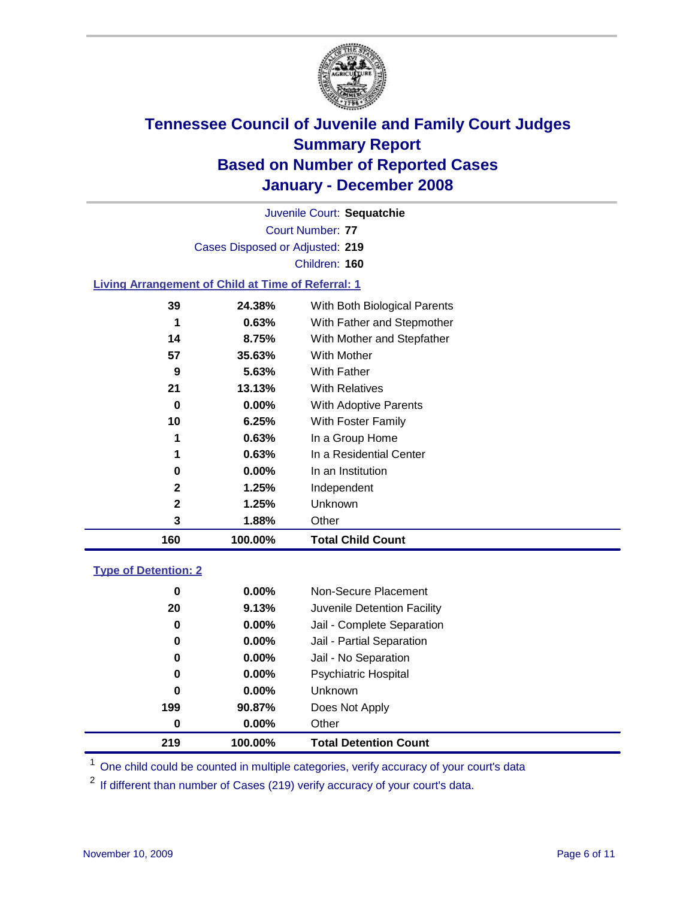

Court Number: **77** Juvenile Court: **Sequatchie** Cases Disposed or Adjusted: **219** Children: **160 Living Arrangement of Child at Time of Referral: 1**

| 160          | 100.00%  | <b>Total Child Count</b>     |
|--------------|----------|------------------------------|
| 3            | 1.88%    | Other                        |
| $\mathbf{2}$ | 1.25%    | Unknown                      |
| 2            | 1.25%    | Independent                  |
| 0            | $0.00\%$ | In an Institution            |
| 1            | 0.63%    | In a Residential Center      |
| 1            | 0.63%    | In a Group Home              |
| 10           | 6.25%    | With Foster Family           |
| 0            | 0.00%    | With Adoptive Parents        |
| 21           | 13.13%   | <b>With Relatives</b>        |
| 9            | 5.63%    | With Father                  |
| 57           | 35.63%   | <b>With Mother</b>           |
| 14           | 8.75%    | With Mother and Stepfather   |
| 1            | 0.63%    | With Father and Stepmother   |
| 39           | 24.38%   | With Both Biological Parents |
|              |          |                              |

### **Type of Detention: 2**

| 219 | 100.00%  | <b>Total Detention Count</b> |  |
|-----|----------|------------------------------|--|
| 0   | 0.00%    | Other                        |  |
| 199 | 90.87%   | Does Not Apply               |  |
| 0   | $0.00\%$ | <b>Unknown</b>               |  |
| 0   | $0.00\%$ | <b>Psychiatric Hospital</b>  |  |
| 0   | $0.00\%$ | Jail - No Separation         |  |
| 0   | $0.00\%$ | Jail - Partial Separation    |  |
| 0   | $0.00\%$ | Jail - Complete Separation   |  |
| 20  | 9.13%    | Juvenile Detention Facility  |  |
| 0   | $0.00\%$ | Non-Secure Placement         |  |
|     |          |                              |  |

<sup>1</sup> One child could be counted in multiple categories, verify accuracy of your court's data

<sup>2</sup> If different than number of Cases (219) verify accuracy of your court's data.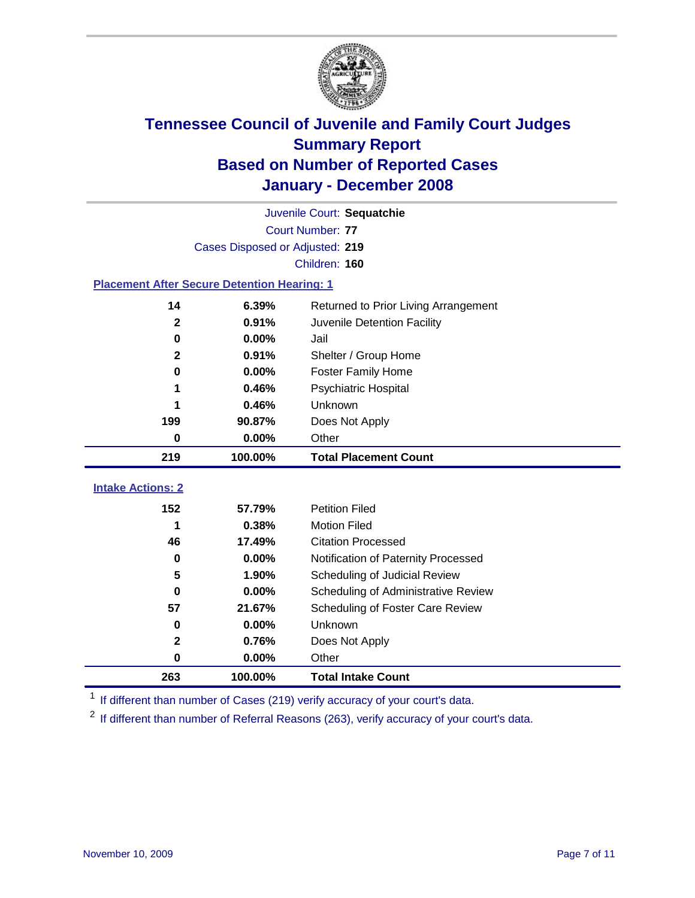

|                                                    | Juvenile Court: Sequatchie      |                                      |  |  |  |
|----------------------------------------------------|---------------------------------|--------------------------------------|--|--|--|
|                                                    | Court Number: 77                |                                      |  |  |  |
|                                                    | Cases Disposed or Adjusted: 219 |                                      |  |  |  |
|                                                    |                                 | Children: 160                        |  |  |  |
| <b>Placement After Secure Detention Hearing: 1</b> |                                 |                                      |  |  |  |
| 14                                                 | 6.39%                           | Returned to Prior Living Arrangement |  |  |  |
| $\mathbf{2}$                                       | 0.91%                           | Juvenile Detention Facility          |  |  |  |
| $\mathbf 0$                                        | 0.00%                           | Jail                                 |  |  |  |
| $\mathbf{2}$                                       | 0.91%                           | Shelter / Group Home                 |  |  |  |
| $\bf{0}$                                           | 0.00%                           | <b>Foster Family Home</b>            |  |  |  |
| 1                                                  | 0.46%                           | Psychiatric Hospital                 |  |  |  |
|                                                    | 0.46%                           | Unknown                              |  |  |  |
| 199                                                | 90.87%                          | Does Not Apply                       |  |  |  |
| 0                                                  | 0.00%                           | Other                                |  |  |  |
| 219                                                | 100.00%                         | <b>Total Placement Count</b>         |  |  |  |
| <b>Intake Actions: 2</b>                           |                                 |                                      |  |  |  |
| 152                                                | 57.79%                          | <b>Petition Filed</b>                |  |  |  |
| 1                                                  | 0.38%                           | <b>Motion Filed</b>                  |  |  |  |
| 46                                                 | 17.49%                          | <b>Citation Processed</b>            |  |  |  |
| $\bf{0}$                                           | 0.00%                           | Notification of Paternity Processed  |  |  |  |
| 5                                                  | 1.90%                           | Scheduling of Judicial Review        |  |  |  |
| $\bf{0}$                                           | 0.00%                           | Scheduling of Administrative Review  |  |  |  |
| 57                                                 | 21.67%                          | Scheduling of Foster Care Review     |  |  |  |
| 0                                                  |                                 | Unknown                              |  |  |  |
|                                                    | 0.00%                           |                                      |  |  |  |
| $\mathbf 2$                                        | 0.76%                           | Does Not Apply                       |  |  |  |
| $\bf{0}$                                           | 0.00%                           | Other                                |  |  |  |

<sup>1</sup> If different than number of Cases (219) verify accuracy of your court's data.

<sup>2</sup> If different than number of Referral Reasons (263), verify accuracy of your court's data.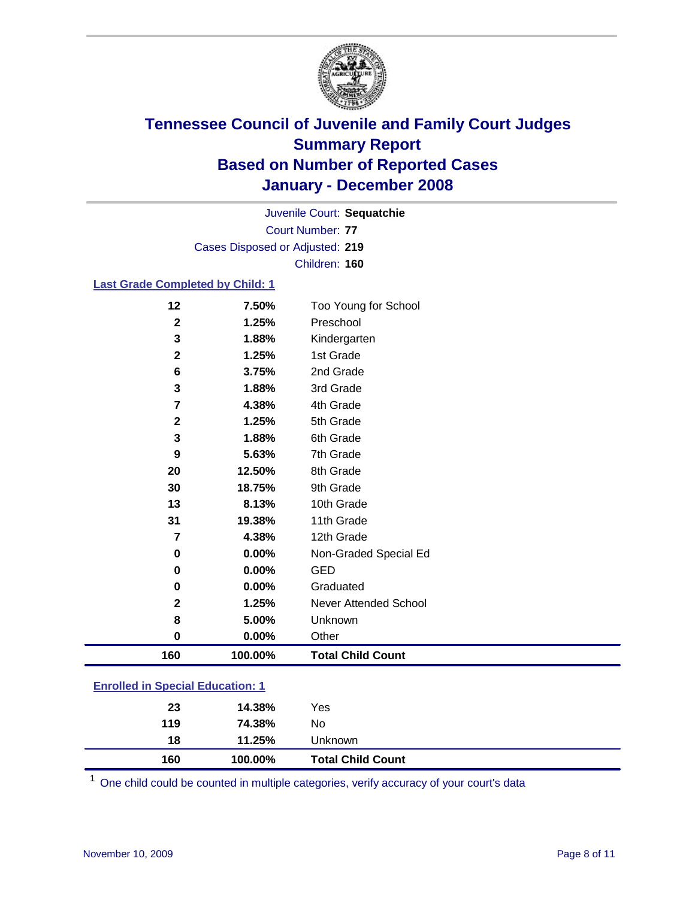

Court Number: **77** Juvenile Court: **Sequatchie** Cases Disposed or Adjusted: **219** Children: **160**

#### **Last Grade Completed by Child: 1**

| 30           | 18.75%  | 9th Grade                |
|--------------|---------|--------------------------|
| 13           | 8.13%   | 10th Grade               |
|              |         |                          |
| 31           | 19.38%  | 11th Grade               |
| 7            | 4.38%   | 12th Grade               |
| 0            | 0.00%   | Non-Graded Special Ed    |
| 0            | 0.00%   | <b>GED</b>               |
| 0            | 0.00%   | Graduated                |
| $\mathbf{2}$ | 1.25%   | Never Attended School    |
| 8            | 5.00%   | Unknown                  |
|              |         |                          |
| 0            | 0.00%   | Other                    |
| 160          | 100.00% | <b>Total Child Count</b> |

### **Enrolled in Special Education: 1**

<sup>1</sup> One child could be counted in multiple categories, verify accuracy of your court's data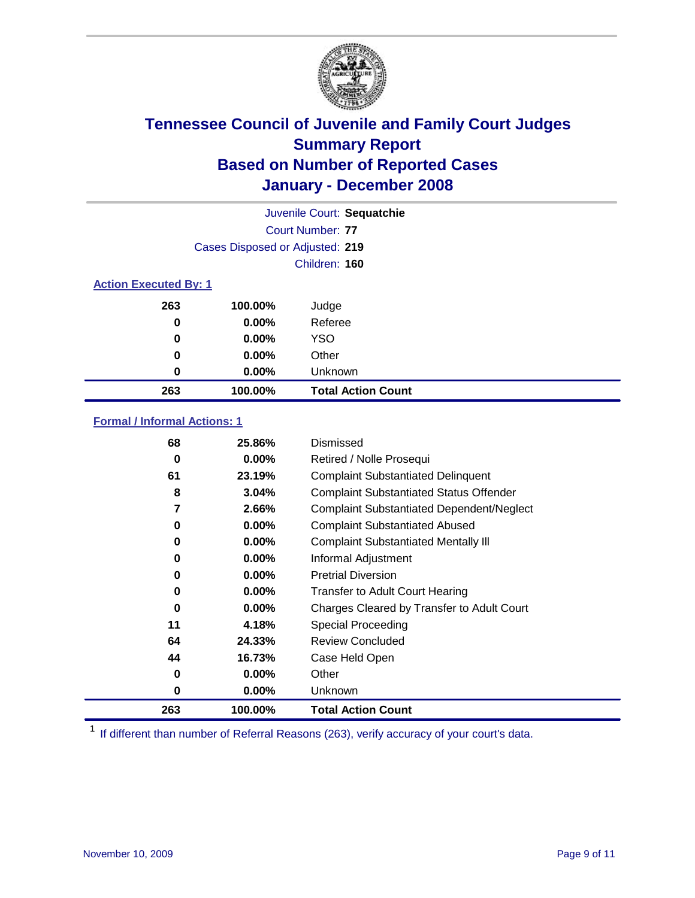

|                              | Juvenile Court: Sequatchie      |                           |  |  |  |
|------------------------------|---------------------------------|---------------------------|--|--|--|
|                              | Court Number: 77                |                           |  |  |  |
|                              | Cases Disposed or Adjusted: 219 |                           |  |  |  |
|                              |                                 | Children: 160             |  |  |  |
| <b>Action Executed By: 1</b> |                                 |                           |  |  |  |
| 263                          | 100.00%                         | Judge                     |  |  |  |
| 0                            | $0.00\%$                        | Referee                   |  |  |  |
| 0                            | $0.00\%$                        | <b>YSO</b>                |  |  |  |
| 0<br>0.00%                   |                                 | Other                     |  |  |  |
| 0                            | $0.00\%$                        | Unknown                   |  |  |  |
| 263                          | 100.00%                         | <b>Total Action Count</b> |  |  |  |

### **Formal / Informal Actions: 1**

| 68  | 25.86%   | Dismissed                                        |
|-----|----------|--------------------------------------------------|
| 0   | $0.00\%$ | Retired / Nolle Prosequi                         |
| 61  | 23.19%   | <b>Complaint Substantiated Delinquent</b>        |
| 8   | 3.04%    | <b>Complaint Substantiated Status Offender</b>   |
| 7   | 2.66%    | <b>Complaint Substantiated Dependent/Neglect</b> |
| 0   | $0.00\%$ | <b>Complaint Substantiated Abused</b>            |
| 0   | $0.00\%$ | <b>Complaint Substantiated Mentally III</b>      |
| 0   | $0.00\%$ | Informal Adjustment                              |
| 0   | $0.00\%$ | <b>Pretrial Diversion</b>                        |
| 0   | $0.00\%$ | <b>Transfer to Adult Court Hearing</b>           |
| 0   | $0.00\%$ | Charges Cleared by Transfer to Adult Court       |
| 11  | 4.18%    | Special Proceeding                               |
| 64  | 24.33%   | <b>Review Concluded</b>                          |
| 44  | 16.73%   | Case Held Open                                   |
| 0   | $0.00\%$ | Other                                            |
| 0   | $0.00\%$ | <b>Unknown</b>                                   |
| 263 | 100.00%  | <b>Total Action Count</b>                        |

<sup>1</sup> If different than number of Referral Reasons (263), verify accuracy of your court's data.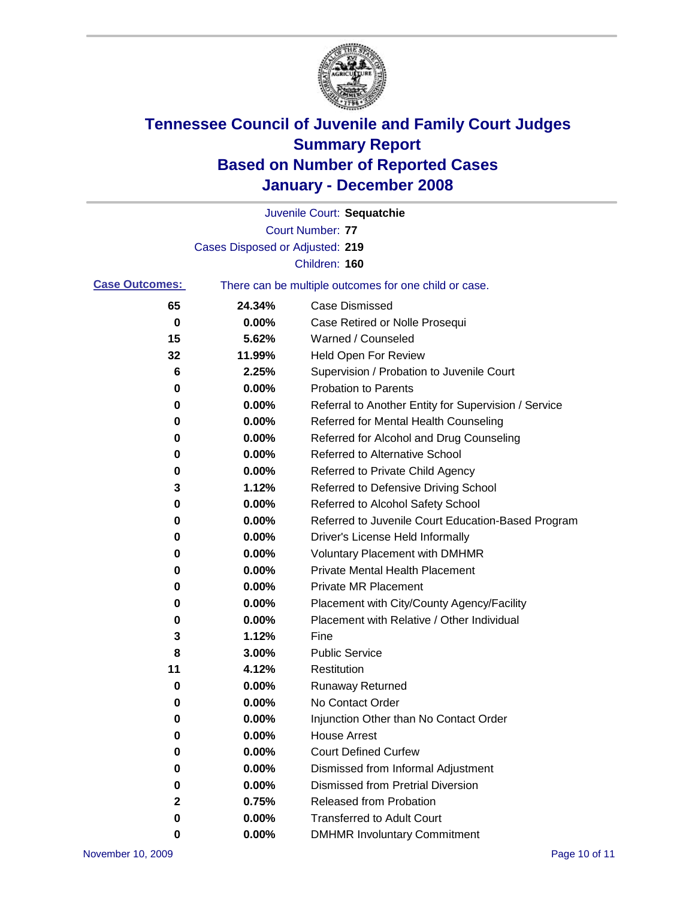

|                       |                                 | Juvenile Court: Sequatchie                            |
|-----------------------|---------------------------------|-------------------------------------------------------|
|                       |                                 | Court Number: 77                                      |
|                       | Cases Disposed or Adjusted: 219 |                                                       |
|                       |                                 | Children: 160                                         |
| <b>Case Outcomes:</b> |                                 | There can be multiple outcomes for one child or case. |
| 65                    | 24.34%                          | <b>Case Dismissed</b>                                 |
| 0                     | 0.00%                           | Case Retired or Nolle Prosequi                        |
| 15                    | 5.62%                           | Warned / Counseled                                    |
| 32                    | 11.99%                          | <b>Held Open For Review</b>                           |
| 6                     | 2.25%                           | Supervision / Probation to Juvenile Court             |
| 0                     | 0.00%                           | <b>Probation to Parents</b>                           |
| 0                     | 0.00%                           | Referral to Another Entity for Supervision / Service  |
| 0                     | 0.00%                           | Referred for Mental Health Counseling                 |
| 0                     | 0.00%                           | Referred for Alcohol and Drug Counseling              |
| 0                     | 0.00%                           | <b>Referred to Alternative School</b>                 |
| 0                     | 0.00%                           | Referred to Private Child Agency                      |
| 3                     | 1.12%                           | Referred to Defensive Driving School                  |
| 0                     | 0.00%                           | Referred to Alcohol Safety School                     |
| 0                     | 0.00%                           | Referred to Juvenile Court Education-Based Program    |
| 0                     | 0.00%                           | Driver's License Held Informally                      |
| 0                     | 0.00%                           | <b>Voluntary Placement with DMHMR</b>                 |
| 0                     | 0.00%                           | <b>Private Mental Health Placement</b>                |
| 0                     | 0.00%                           | Private MR Placement                                  |
| 0                     | 0.00%                           | Placement with City/County Agency/Facility            |
| 0                     | 0.00%                           | Placement with Relative / Other Individual            |
| 3                     | 1.12%                           | Fine                                                  |
| 8                     | 3.00%                           | <b>Public Service</b>                                 |
| 11                    | 4.12%                           | Restitution                                           |
| 0                     | 0.00%                           | <b>Runaway Returned</b>                               |
| 0                     | 0.00%                           | No Contact Order                                      |
| $\pmb{0}$             | 0.00%                           | Injunction Other than No Contact Order                |
| 0                     | 0.00%                           | <b>House Arrest</b>                                   |
| 0                     | 0.00%                           | <b>Court Defined Curfew</b>                           |
| 0                     | 0.00%                           | Dismissed from Informal Adjustment                    |
| 0                     | 0.00%                           | <b>Dismissed from Pretrial Diversion</b>              |
| 2                     | 0.75%                           | Released from Probation                               |
| 0                     | 0.00%                           | <b>Transferred to Adult Court</b>                     |
| 0                     | 0.00%                           | <b>DMHMR Involuntary Commitment</b>                   |